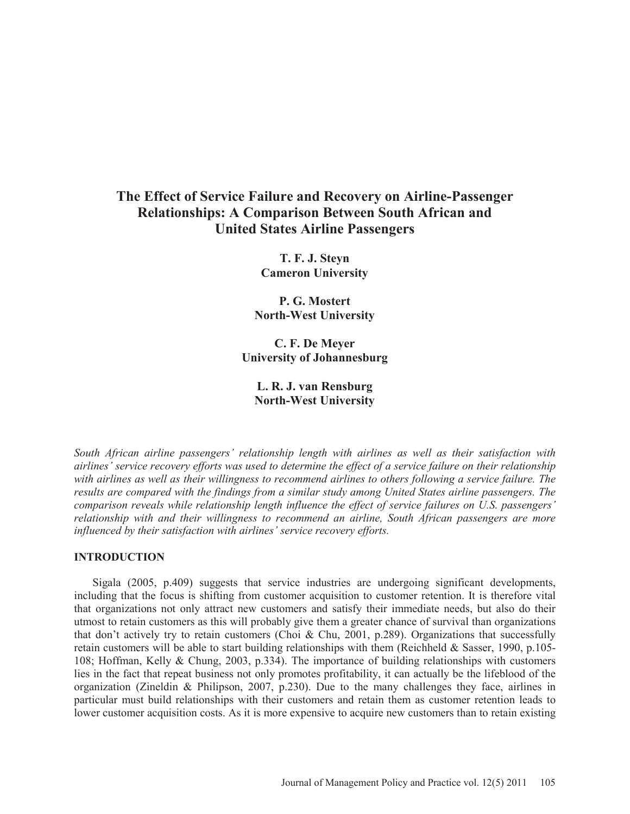# **The Effect of Service Failure and Recovery on Airline-Passenger Relationships: A Comparison Between South African and United States Airline Passengers**

**T. F. J. Steyn Cameron University** 

**P. G. Mostert North-West University** 

**C. F. De Meyer University of Johannesburg** 

# **L. R. J. van Rensburg North-West University**

*South African airline passengers' relationship length with airlines as well as their satisfaction with airlines' service recovery efforts was used to determine the effect of a service failure on their relationship with airlines as well as their willingness to recommend airlines to others following a service failure. The results are compared with the findings from a similar study among United States airline passengers. The comparison reveals while relationship length influence the effect of service failures on U.S. passengers' relationship with and their willingness to recommend an airline, South African passengers are more influenced by their satisfaction with airlines' service recovery efforts.* 

# **INTRODUCTION**

Sigala (2005, p.409) suggests that service industries are undergoing significant developments, including that the focus is shifting from customer acquisition to customer retention. It is therefore vital that organizations not only attract new customers and satisfy their immediate needs, but also do their utmost to retain customers as this will probably give them a greater chance of survival than organizations that don't actively try to retain customers (Choi & Chu, 2001, p.289). Organizations that successfully retain customers will be able to start building relationships with them (Reichheld & Sasser, 1990, p.105- 108; Hoffman, Kelly & Chung, 2003, p.334). The importance of building relationships with customers lies in the fact that repeat business not only promotes profitability, it can actually be the lifeblood of the organization (Zineldin & Philipson, 2007, p.230). Due to the many challenges they face, airlines in particular must build relationships with their customers and retain them as customer retention leads to lower customer acquisition costs. As it is more expensive to acquire new customers than to retain existing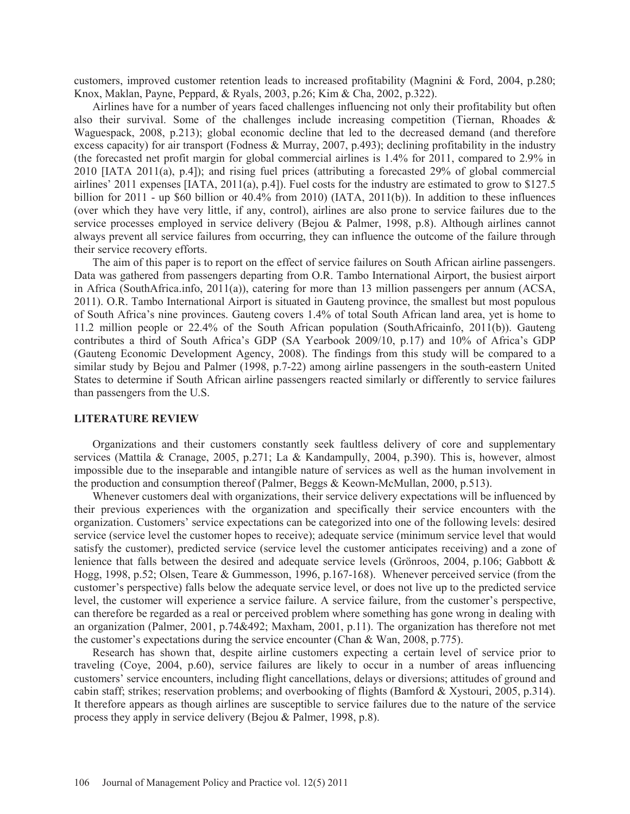customers, improved customer retention leads to increased profitability (Magnini & Ford, 2004, p.280; Knox, Maklan, Payne, Peppard, & Ryals, 2003, p.26; Kim & Cha, 2002, p.322).

Airlines have for a number of years faced challenges influencing not only their profitability but often also their survival. Some of the challenges include increasing competition (Tiernan, Rhoades & Waguespack, 2008, p.213); global economic decline that led to the decreased demand (and therefore excess capacity) for air transport (Fodness & Murray, 2007, p.493); declining profitability in the industry (the forecasted net profit margin for global commercial airlines is 1.4% for 2011, compared to 2.9% in 2010 [IATA 2011(a), p.4]); and rising fuel prices (attributing a forecasted 29% of global commercial airlines' 2011 expenses [IATA, 2011(a), p.4]). Fuel costs for the industry are estimated to grow to \$127.5 billion for 2011 - up \$60 billion or 40.4% from 2010) (IATA, 2011(b)). In addition to these influences (over which they have very little, if any, control), airlines are also prone to service failures due to the service processes employed in service delivery (Bejou & Palmer, 1998, p.8). Although airlines cannot always prevent all service failures from occurring, they can influence the outcome of the failure through their service recovery efforts.

The aim of this paper is to report on the effect of service failures on South African airline passengers. Data was gathered from passengers departing from O.R. Tambo International Airport, the busiest airport in Africa (SouthAfrica.info, 2011(a)), catering for more than 13 million passengers per annum (ACSA, 2011). O.R. Tambo International Airport is situated in Gauteng province, the smallest but most populous of South Africa's nine provinces. Gauteng covers 1.4% of total South African land area, yet is home to 11.2 million people or 22.4% of the South African population (SouthAfricainfo, 2011(b)). Gauteng contributes a third of South Africa's GDP (SA Yearbook 2009/10, p.17) and 10% of Africa's GDP (Gauteng Economic Development Agency, 2008). The findings from this study will be compared to a similar study by Bejou and Palmer (1998, p.7-22) among airline passengers in the south-eastern United States to determine if South African airline passengers reacted similarly or differently to service failures than passengers from the U.S.

#### **LITERATURE REVIEW**

Organizations and their customers constantly seek faultless delivery of core and supplementary services (Mattila & Cranage, 2005, p.271; La & Kandampully, 2004, p.390). This is, however, almost impossible due to the inseparable and intangible nature of services as well as the human involvement in the production and consumption thereof (Palmer, Beggs & Keown-McMullan, 2000, p.513).

Whenever customers deal with organizations, their service delivery expectations will be influenced by their previous experiences with the organization and specifically their service encounters with the organization. Customers' service expectations can be categorized into one of the following levels: desired service (service level the customer hopes to receive); adequate service (minimum service level that would satisfy the customer), predicted service (service level the customer anticipates receiving) and a zone of lenience that falls between the desired and adequate service levels (Grönroos, 2004, p.106; Gabbott & Hogg, 1998, p.52; Olsen, Teare & Gummesson, 1996, p.167-168). Whenever perceived service (from the customer's perspective) falls below the adequate service level, or does not live up to the predicted service level, the customer will experience a service failure. A service failure, from the customer's perspective, can therefore be regarded as a real or perceived problem where something has gone wrong in dealing with an organization (Palmer, 2001, p.74&492; Maxham, 2001, p.11). The organization has therefore not met the customer's expectations during the service encounter (Chan & Wan, 2008, p.775).

Research has shown that, despite airline customers expecting a certain level of service prior to traveling (Coye, 2004, p.60), service failures are likely to occur in a number of areas influencing customers' service encounters, including flight cancellations, delays or diversions; attitudes of ground and cabin staff; strikes; reservation problems; and overbooking of flights (Bamford & Xystouri, 2005, p.314). It therefore appears as though airlines are susceptible to service failures due to the nature of the service process they apply in service delivery (Bejou & Palmer, 1998, p.8).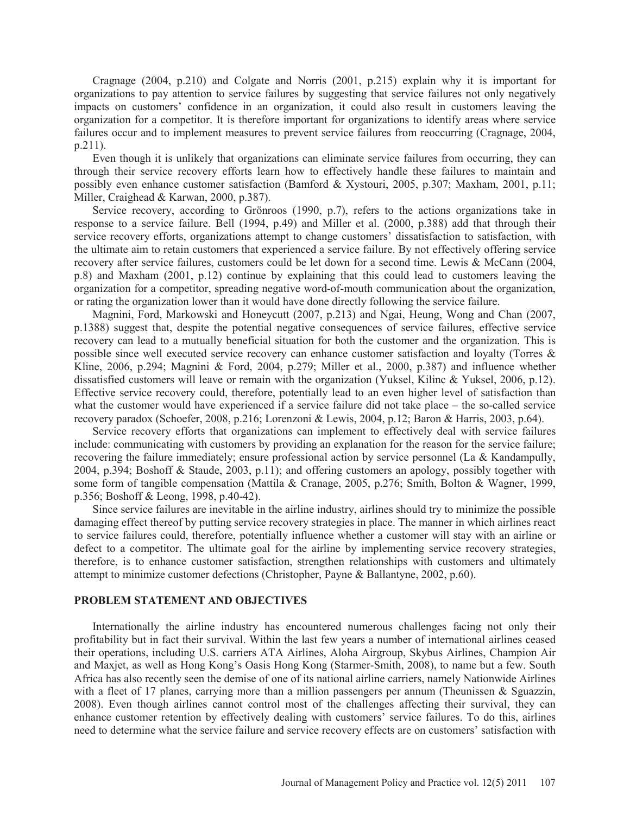Cragnage (2004, p.210) and Colgate and Norris (2001, p.215) explain why it is important for organizations to pay attention to service failures by suggesting that service failures not only negatively impacts on customers' confidence in an organization, it could also result in customers leaving the organization for a competitor. It is therefore important for organizations to identify areas where service failures occur and to implement measures to prevent service failures from reoccurring (Cragnage, 2004, p.211).

Even though it is unlikely that organizations can eliminate service failures from occurring, they can through their service recovery efforts learn how to effectively handle these failures to maintain and possibly even enhance customer satisfaction (Bamford & Xystouri, 2005, p.307; Maxham, 2001, p.11; Miller, Craighead & Karwan, 2000, p.387).

Service recovery, according to Grönroos (1990, p.7), refers to the actions organizations take in response to a service failure. Bell (1994, p.49) and Miller et al. (2000, p.388) add that through their service recovery efforts, organizations attempt to change customers' dissatisfaction to satisfaction, with the ultimate aim to retain customers that experienced a service failure. By not effectively offering service recovery after service failures, customers could be let down for a second time. Lewis & McCann (2004, p.8) and Maxham (2001, p.12) continue by explaining that this could lead to customers leaving the organization for a competitor, spreading negative word-of-mouth communication about the organization, or rating the organization lower than it would have done directly following the service failure.

Magnini, Ford, Markowski and Honeycutt (2007, p.213) and Ngai, Heung, Wong and Chan (2007, p.1388) suggest that, despite the potential negative consequences of service failures, effective service recovery can lead to a mutually beneficial situation for both the customer and the organization. This is possible since well executed service recovery can enhance customer satisfaction and loyalty (Torres & Kline, 2006, p.294; Magnini & Ford, 2004, p.279; Miller et al., 2000, p.387) and influence whether dissatisfied customers will leave or remain with the organization (Yuksel, Kilinc & Yuksel, 2006, p.12). Effective service recovery could, therefore, potentially lead to an even higher level of satisfaction than what the customer would have experienced if a service failure did not take place – the so-called service recovery paradox (Schoefer, 2008, p.216; Lorenzoni & Lewis, 2004, p.12; Baron & Harris, 2003, p.64).

Service recovery efforts that organizations can implement to effectively deal with service failures include: communicating with customers by providing an explanation for the reason for the service failure; recovering the failure immediately; ensure professional action by service personnel (La & Kandampully, 2004, p.394; Boshoff & Staude, 2003, p.11); and offering customers an apology, possibly together with some form of tangible compensation (Mattila & Cranage, 2005, p.276; Smith, Bolton & Wagner, 1999, p.356; Boshoff & Leong, 1998, p.40-42).

Since service failures are inevitable in the airline industry, airlines should try to minimize the possible damaging effect thereof by putting service recovery strategies in place. The manner in which airlines react to service failures could, therefore, potentially influence whether a customer will stay with an airline or defect to a competitor. The ultimate goal for the airline by implementing service recovery strategies, therefore, is to enhance customer satisfaction, strengthen relationships with customers and ultimately attempt to minimize customer defections (Christopher, Payne & Ballantyne, 2002, p.60).

# **PROBLEM STATEMENT AND OBJECTIVES**

Internationally the airline industry has encountered numerous challenges facing not only their profitability but in fact their survival. Within the last few years a number of international airlines ceased their operations, including U.S. carriers ATA Airlines, Aloha Airgroup, Skybus Airlines, Champion Air and Maxjet, as well as Hong Kong's Oasis Hong Kong (Starmer-Smith, 2008), to name but a few. South Africa has also recently seen the demise of one of its national airline carriers, namely Nationwide Airlines with a fleet of 17 planes, carrying more than a million passengers per annum (Theunissen & Sguazzin, 2008). Even though airlines cannot control most of the challenges affecting their survival, they can enhance customer retention by effectively dealing with customers' service failures. To do this, airlines need to determine what the service failure and service recovery effects are on customers' satisfaction with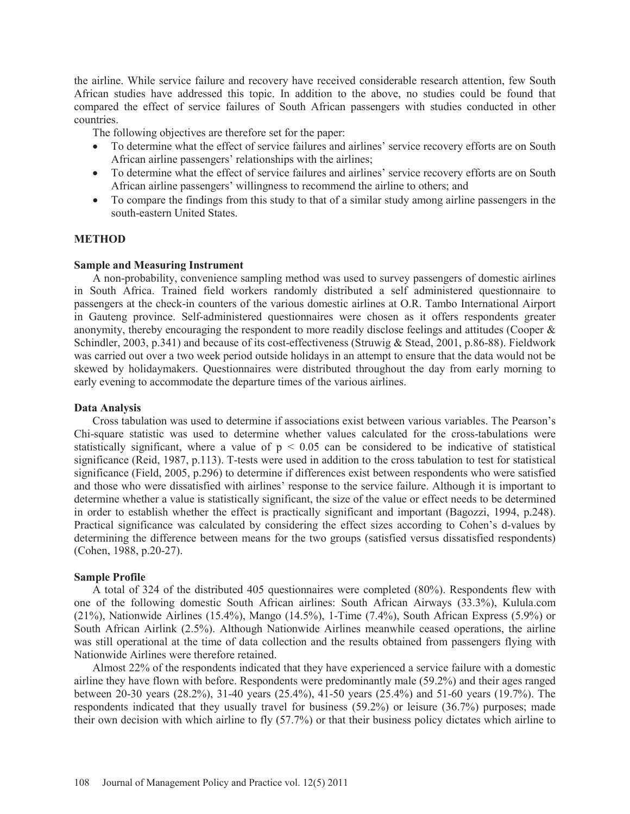the airline. While service failure and recovery have received considerable research attention, few South African studies have addressed this topic. In addition to the above, no studies could be found that compared the effect of service failures of South African passengers with studies conducted in other countries.

The following objectives are therefore set for the paper:

- To determine what the effect of service failures and airlines' service recovery efforts are on South African airline passengers' relationships with the airlines;
- To determine what the effect of service failures and airlines' service recovery efforts are on South African airline passengers' willingness to recommend the airline to others; and
- To compare the findings from this study to that of a similar study among airline passengers in the south-eastern United States.

## **METHOD**

## **Sample and Measuring Instrument**

A non-probability, convenience sampling method was used to survey passengers of domestic airlines in South Africa. Trained field workers randomly distributed a self administered questionnaire to passengers at the check-in counters of the various domestic airlines at O.R. Tambo International Airport in Gauteng province. Self-administered questionnaires were chosen as it offers respondents greater anonymity, thereby encouraging the respondent to more readily disclose feelings and attitudes (Cooper & Schindler, 2003, p.341) and because of its cost-effectiveness (Struwig & Stead, 2001, p.86-88). Fieldwork was carried out over a two week period outside holidays in an attempt to ensure that the data would not be skewed by holidaymakers. Questionnaires were distributed throughout the day from early morning to early evening to accommodate the departure times of the various airlines.

## **Data Analysis**

Cross tabulation was used to determine if associations exist between various variables. The Pearson's Chi-square statistic was used to determine whether values calculated for the cross-tabulations were statistically significant, where a value of  $p < 0.05$  can be considered to be indicative of statistical significance (Reid, 1987, p.113). T-tests were used in addition to the cross tabulation to test for statistical significance (Field, 2005, p.296) to determine if differences exist between respondents who were satisfied and those who were dissatisfied with airlines' response to the service failure. Although it is important to determine whether a value is statistically significant, the size of the value or effect needs to be determined in order to establish whether the effect is practically significant and important (Bagozzi, 1994, p.248). Practical significance was calculated by considering the effect sizes according to Cohen's d-values by determining the difference between means for the two groups (satisfied versus dissatisfied respondents) (Cohen, 1988, p.20-27).

# **Sample Profile**

A total of 324 of the distributed 405 questionnaires were completed (80%). Respondents flew with one of the following domestic South African airlines: South African Airways (33.3%), Kulula.com (21%), Nationwide Airlines (15.4%), Mango (14.5%), 1-Time (7.4%), South African Express (5.9%) or South African Airlink (2.5%). Although Nationwide Airlines meanwhile ceased operations, the airline was still operational at the time of data collection and the results obtained from passengers flying with Nationwide Airlines were therefore retained.

Almost 22% of the respondents indicated that they have experienced a service failure with a domestic airline they have flown with before. Respondents were predominantly male (59.2%) and their ages ranged between 20-30 years (28.2%), 31-40 years (25.4%), 41-50 years (25.4%) and 51-60 years (19.7%). The respondents indicated that they usually travel for business (59.2%) or leisure (36.7%) purposes; made their own decision with which airline to fly (57.7%) or that their business policy dictates which airline to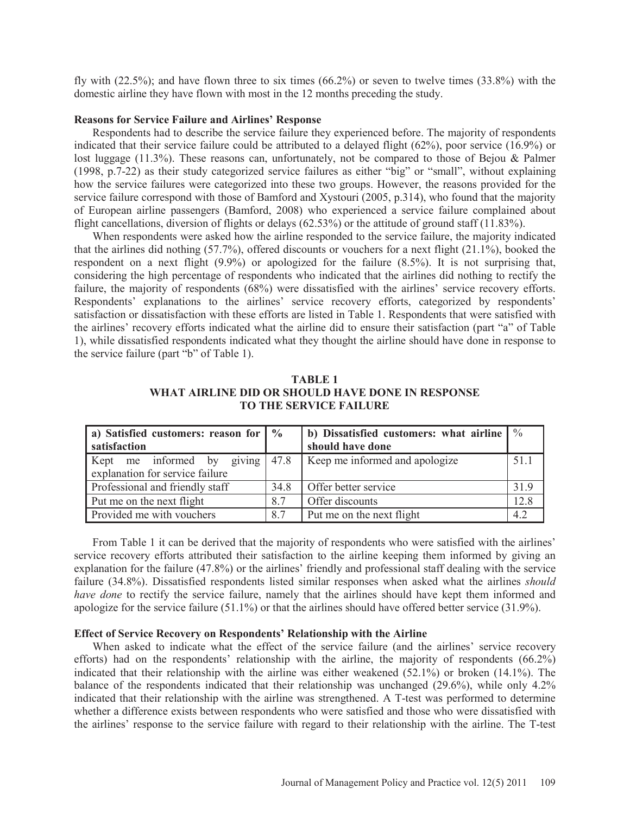fly with (22.5%); and have flown three to six times (66.2%) or seven to twelve times (33.8%) with the domestic airline they have flown with most in the 12 months preceding the study.

## **Reasons for Service Failure and Airlines' Response**

Respondents had to describe the service failure they experienced before. The majority of respondents indicated that their service failure could be attributed to a delayed flight (62%), poor service (16.9%) or lost luggage (11.3%). These reasons can, unfortunately, not be compared to those of Bejou & Palmer (1998, p.7-22) as their study categorized service failures as either "big" or "small", without explaining how the service failures were categorized into these two groups. However, the reasons provided for the service failure correspond with those of Bamford and Xystouri (2005, p.314), who found that the majority of European airline passengers (Bamford, 2008) who experienced a service failure complained about flight cancellations, diversion of flights or delays (62.53%) or the attitude of ground staff (11.83%).

When respondents were asked how the airline responded to the service failure, the majority indicated that the airlines did nothing (57.7%), offered discounts or vouchers for a next flight (21.1%), booked the respondent on a next flight (9.9%) or apologized for the failure (8.5%). It is not surprising that, considering the high percentage of respondents who indicated that the airlines did nothing to rectify the failure, the majority of respondents (68%) were dissatisfied with the airlines' service recovery efforts. Respondents' explanations to the airlines' service recovery efforts, categorized by respondents' satisfaction or dissatisfaction with these efforts are listed in Table 1. Respondents that were satisfied with the airlines' recovery efforts indicated what the airline did to ensure their satisfaction (part "a" of Table 1), while dissatisfied respondents indicated what they thought the airline should have done in response to the service failure (part "b" of Table 1).

# **TABLE 1 WHAT AIRLINE DID OR SHOULD HAVE DONE IN RESPONSE TO THE SERVICE FAILURE**

| a) Satisfied customers: reason for   %<br>satisfaction |      | b) Dissatisfied customers: what airline $\frac{1}{2}$<br>should have done |      |
|--------------------------------------------------------|------|---------------------------------------------------------------------------|------|
| Kept me informed by giving $ 47.8 $                    |      | Keep me informed and apologize                                            | 51.1 |
| explanation for service failure                        |      |                                                                           |      |
| Professional and friendly staff                        | 34.8 | Offer better service                                                      | 319  |
| Put me on the next flight                              | 8.7  | Offer discounts                                                           | 12.8 |
| Provided me with vouchers                              | 8.7  | Put me on the next flight                                                 | 42   |

From Table 1 it can be derived that the majority of respondents who were satisfied with the airlines' service recovery efforts attributed their satisfaction to the airline keeping them informed by giving an explanation for the failure (47.8%) or the airlines' friendly and professional staff dealing with the service failure (34.8%). Dissatisfied respondents listed similar responses when asked what the airlines *should have done* to rectify the service failure, namely that the airlines should have kept them informed and apologize for the service failure (51.1%) or that the airlines should have offered better service (31.9%).

## **Effect of Service Recovery on Respondents' Relationship with the Airline**

When asked to indicate what the effect of the service failure (and the airlines' service recovery efforts) had on the respondents' relationship with the airline, the majority of respondents (66.2%) indicated that their relationship with the airline was either weakened (52.1%) or broken (14.1%). The balance of the respondents indicated that their relationship was unchanged (29.6%), while only 4.2% indicated that their relationship with the airline was strengthened. A T-test was performed to determine whether a difference exists between respondents who were satisfied and those who were dissatisfied with the airlines' response to the service failure with regard to their relationship with the airline. The T-test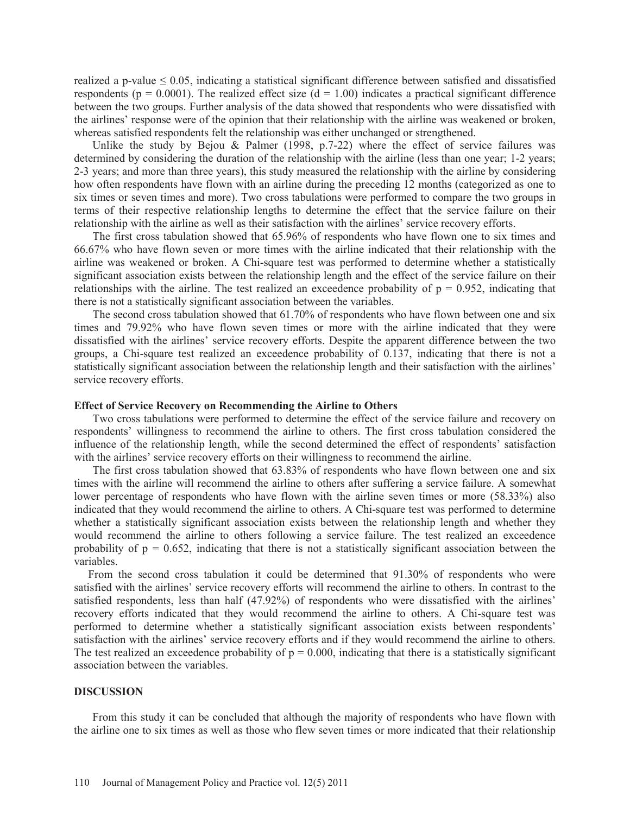realized a p-value  $\leq 0.05$ , indicating a statistical significant difference between satisfied and dissatisfied respondents ( $p = 0.0001$ ). The realized effect size ( $d = 1.00$ ) indicates a practical significant difference between the two groups. Further analysis of the data showed that respondents who were dissatisfied with the airlines' response were of the opinion that their relationship with the airline was weakened or broken, whereas satisfied respondents felt the relationship was either unchanged or strengthened.

Unlike the study by Bejou & Palmer  $(1998, p.7-22)$  where the effect of service failures was determined by considering the duration of the relationship with the airline (less than one year; 1-2 years; 2-3 years; and more than three years), this study measured the relationship with the airline by considering how often respondents have flown with an airline during the preceding 12 months (categorized as one to six times or seven times and more). Two cross tabulations were performed to compare the two groups in terms of their respective relationship lengths to determine the effect that the service failure on their relationship with the airline as well as their satisfaction with the airlines' service recovery efforts.

The first cross tabulation showed that 65.96% of respondents who have flown one to six times and 66.67% who have flown seven or more times with the airline indicated that their relationship with the airline was weakened or broken. A Chi-square test was performed to determine whether a statistically significant association exists between the relationship length and the effect of the service failure on their relationships with the airline. The test realized an exceedence probability of  $p = 0.952$ , indicating that there is not a statistically significant association between the variables.

The second cross tabulation showed that 61.70% of respondents who have flown between one and six times and 79.92% who have flown seven times or more with the airline indicated that they were dissatisfied with the airlines' service recovery efforts. Despite the apparent difference between the two groups, a Chi-square test realized an exceedence probability of 0.137, indicating that there is not a statistically significant association between the relationship length and their satisfaction with the airlines' service recovery efforts.

#### **Effect of Service Recovery on Recommending the Airline to Others**

Two cross tabulations were performed to determine the effect of the service failure and recovery on respondents' willingness to recommend the airline to others. The first cross tabulation considered the influence of the relationship length, while the second determined the effect of respondents' satisfaction with the airlines' service recovery efforts on their willingness to recommend the airline.

The first cross tabulation showed that 63.83% of respondents who have flown between one and six times with the airline will recommend the airline to others after suffering a service failure. A somewhat lower percentage of respondents who have flown with the airline seven times or more (58.33%) also indicated that they would recommend the airline to others. A Chi-square test was performed to determine whether a statistically significant association exists between the relationship length and whether they would recommend the airline to others following a service failure. The test realized an exceedence probability of  $p = 0.652$ , indicating that there is not a statistically significant association between the variables.

 From the second cross tabulation it could be determined that 91.30% of respondents who were satisfied with the airlines' service recovery efforts will recommend the airline to others. In contrast to the satisfied respondents, less than half (47.92%) of respondents who were dissatisfied with the airlines' recovery efforts indicated that they would recommend the airline to others. A Chi-square test was performed to determine whether a statistically significant association exists between respondents' satisfaction with the airlines' service recovery efforts and if they would recommend the airline to others. The test realized an exceedence probability of  $p = 0.000$ , indicating that there is a statistically significant association between the variables.

#### **DISCUSSION**

From this study it can be concluded that although the majority of respondents who have flown with the airline one to six times as well as those who flew seven times or more indicated that their relationship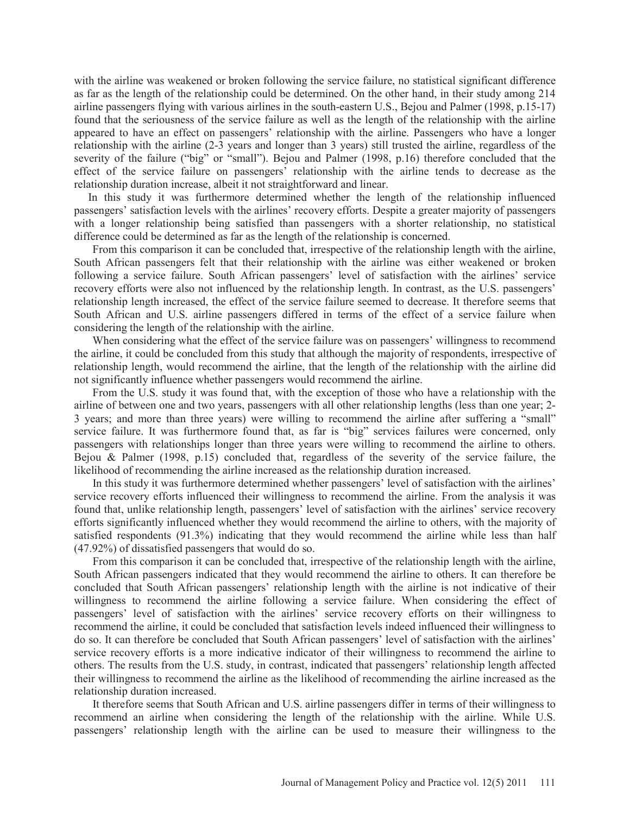with the airline was weakened or broken following the service failure, no statistical significant difference as far as the length of the relationship could be determined. On the other hand, in their study among 214 airline passengers flying with various airlines in the south-eastern U.S., Bejou and Palmer (1998, p.15-17) found that the seriousness of the service failure as well as the length of the relationship with the airline appeared to have an effect on passengers' relationship with the airline. Passengers who have a longer relationship with the airline (2-3 years and longer than 3 years) still trusted the airline, regardless of the severity of the failure ("big" or "small"). Bejou and Palmer (1998, p.16) therefore concluded that the effect of the service failure on passengers' relationship with the airline tends to decrease as the relationship duration increase, albeit it not straightforward and linear.

 In this study it was furthermore determined whether the length of the relationship influenced passengers' satisfaction levels with the airlines' recovery efforts. Despite a greater majority of passengers with a longer relationship being satisfied than passengers with a shorter relationship, no statistical difference could be determined as far as the length of the relationship is concerned.

From this comparison it can be concluded that, irrespective of the relationship length with the airline, South African passengers felt that their relationship with the airline was either weakened or broken following a service failure. South African passengers' level of satisfaction with the airlines' service recovery efforts were also not influenced by the relationship length. In contrast, as the U.S. passengers' relationship length increased, the effect of the service failure seemed to decrease. It therefore seems that South African and U.S. airline passengers differed in terms of the effect of a service failure when considering the length of the relationship with the airline.

When considering what the effect of the service failure was on passengers' willingness to recommend the airline, it could be concluded from this study that although the majority of respondents, irrespective of relationship length, would recommend the airline, that the length of the relationship with the airline did not significantly influence whether passengers would recommend the airline.

From the U.S. study it was found that, with the exception of those who have a relationship with the airline of between one and two years, passengers with all other relationship lengths (less than one year; 2- 3 years; and more than three years) were willing to recommend the airline after suffering a "small" service failure. It was furthermore found that, as far is "big" services failures were concerned, only passengers with relationships longer than three years were willing to recommend the airline to others. Bejou & Palmer (1998, p.15) concluded that, regardless of the severity of the service failure, the likelihood of recommending the airline increased as the relationship duration increased.

In this study it was furthermore determined whether passengers' level of satisfaction with the airlines' service recovery efforts influenced their willingness to recommend the airline. From the analysis it was found that, unlike relationship length, passengers' level of satisfaction with the airlines' service recovery efforts significantly influenced whether they would recommend the airline to others, with the majority of satisfied respondents (91.3%) indicating that they would recommend the airline while less than half (47.92%) of dissatisfied passengers that would do so.

From this comparison it can be concluded that, irrespective of the relationship length with the airline, South African passengers indicated that they would recommend the airline to others. It can therefore be concluded that South African passengers' relationship length with the airline is not indicative of their willingness to recommend the airline following a service failure. When considering the effect of passengers' level of satisfaction with the airlines' service recovery efforts on their willingness to recommend the airline, it could be concluded that satisfaction levels indeed influenced their willingness to do so. It can therefore be concluded that South African passengers' level of satisfaction with the airlines' service recovery efforts is a more indicative indicator of their willingness to recommend the airline to others. The results from the U.S. study, in contrast, indicated that passengers' relationship length affected their willingness to recommend the airline as the likelihood of recommending the airline increased as the relationship duration increased.

It therefore seems that South African and U.S. airline passengers differ in terms of their willingness to recommend an airline when considering the length of the relationship with the airline. While U.S. passengers' relationship length with the airline can be used to measure their willingness to the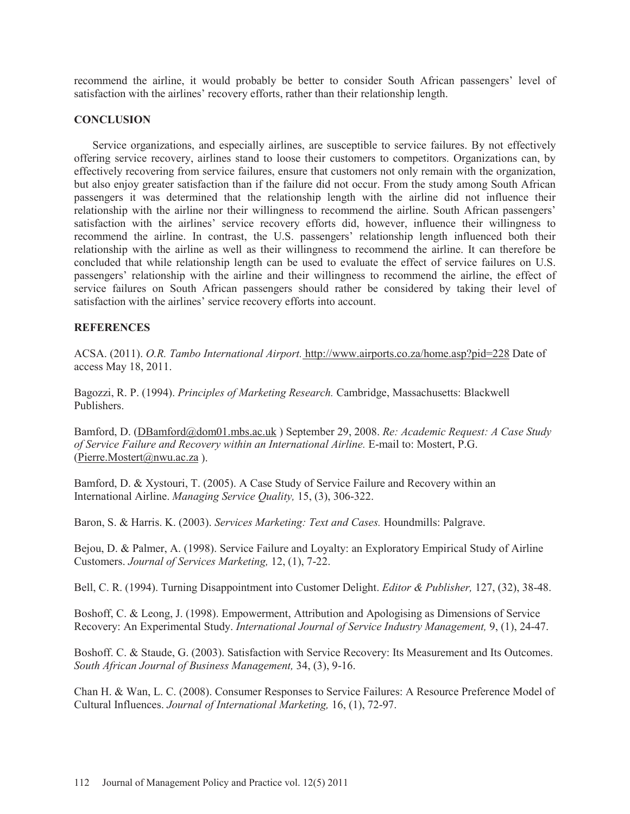recommend the airline, it would probably be better to consider South African passengers' level of satisfaction with the airlines' recovery efforts, rather than their relationship length.

# **CONCLUSION**

Service organizations, and especially airlines, are susceptible to service failures. By not effectively offering service recovery, airlines stand to loose their customers to competitors. Organizations can, by effectively recovering from service failures, ensure that customers not only remain with the organization, but also enjoy greater satisfaction than if the failure did not occur. From the study among South African passengers it was determined that the relationship length with the airline did not influence their relationship with the airline nor their willingness to recommend the airline. South African passengers' satisfaction with the airlines' service recovery efforts did, however, influence their willingness to recommend the airline. In contrast, the U.S. passengers' relationship length influenced both their relationship with the airline as well as their willingness to recommend the airline. It can therefore be concluded that while relationship length can be used to evaluate the effect of service failures on U.S. passengers' relationship with the airline and their willingness to recommend the airline, the effect of service failures on South African passengers should rather be considered by taking their level of satisfaction with the airlines' service recovery efforts into account.

# **REFERENCES**

ACSA. (2011). *O.R. Tambo International Airport.* http://www.airports.co.za/home.asp?pid=228 Date of access May 18, 2011.

Bagozzi, R. P. (1994). *Principles of Marketing Research.* Cambridge, Massachusetts: Blackwell Publishers.

Bamford, D. (DBamford@dom01.mbs.ac.uk ) September 29, 2008. *Re: Academic Request: A Case Study of Service Failure and Recovery within an International Airline.* E-mail to: Mostert, P.G. (Pierre.Mostert@nwu.ac.za ).

Bamford, D. & Xystouri, T. (2005). A Case Study of Service Failure and Recovery within an International Airline. *Managing Service Quality,* 15, (3), 306-322.

Baron, S. & Harris. K. (2003). *Services Marketing: Text and Cases.* Houndmills: Palgrave.

Bejou, D. & Palmer, A. (1998). Service Failure and Loyalty: an Exploratory Empirical Study of Airline Customers. *Journal of Services Marketing,* 12, (1), 7-22.

Bell, C. R. (1994). Turning Disappointment into Customer Delight. *Editor & Publisher,* 127, (32), 38-48.

Boshoff, C. & Leong, J. (1998). Empowerment, Attribution and Apologising as Dimensions of Service Recovery: An Experimental Study. *International Journal of Service Industry Management,* 9, (1), 24-47.

Boshoff. C. & Staude, G. (2003). Satisfaction with Service Recovery: Its Measurement and Its Outcomes. *South African Journal of Business Management,* 34, (3), 9-16.

Chan H. & Wan, L. C. (2008). Consumer Responses to Service Failures: A Resource Preference Model of Cultural Influences. *Journal of International Marketing,* 16, (1), 72-97.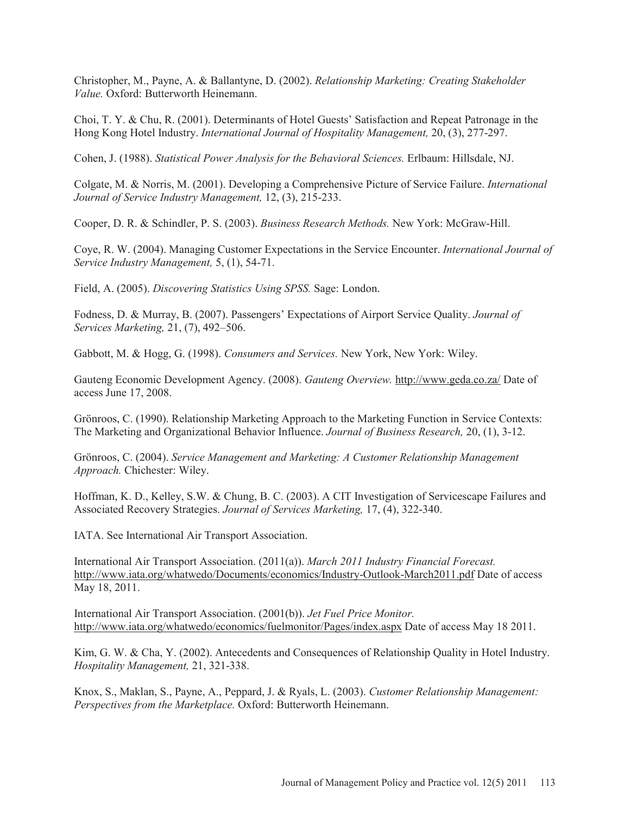Christopher, M., Payne, A. & Ballantyne, D. (2002). *Relationship Marketing: Creating Stakeholder Value.* Oxford: Butterworth Heinemann.

Choi, T. Y. & Chu, R. (2001). Determinants of Hotel Guests' Satisfaction and Repeat Patronage in the Hong Kong Hotel Industry. *International Journal of Hospitality Management,* 20, (3), 277-297.

Cohen, J. (1988). *Statistical Power Analysis for the Behavioral Sciences.* Erlbaum: Hillsdale, NJ.

Colgate, M. & Norris, M. (2001). Developing a Comprehensive Picture of Service Failure. *International Journal of Service Industry Management,* 12, (3), 215-233.

Cooper, D. R. & Schindler, P. S. (2003). *Business Research Methods.* New York: McGraw-Hill.

Coye, R. W. (2004). Managing Customer Expectations in the Service Encounter. *International Journal of Service Industry Management,* 5, (1), 54-71.

Field, A. (2005). *Discovering Statistics Using SPSS.* Sage: London.

Fodness, D. & Murray, B. (2007). Passengers' Expectations of Airport Service Quality. *Journal of Services Marketing,* 21, (7), 492–506.

Gabbott, M. & Hogg, G. (1998). *Consumers and Services.* New York, New York: Wiley.

Gauteng Economic Development Agency. (2008). *Gauteng Overview.* http://www.geda.co.za/ Date of access June 17, 2008.

Grönroos, C. (1990). Relationship Marketing Approach to the Marketing Function in Service Contexts: The Marketing and Organizational Behavior Influence. *Journal of Business Research,* 20, (1), 3-12.

Grönroos, C. (2004). *Service Management and Marketing: A Customer Relationship Management Approach.* Chichester: Wiley.

Hoffman, K. D., Kelley, S.W. & Chung, B. C. (2003). A CIT Investigation of Servicescape Failures and Associated Recovery Strategies. *Journal of Services Marketing,* 17, (4), 322-340.

IATA. See International Air Transport Association.

International Air Transport Association. (2011(a)). *March 2011 Industry Financial Forecast.* http://www.iata.org/whatwedo/Documents/economics/Industry-Outlook-March2011.pdf Date of access May 18, 2011.

International Air Transport Association. (2001(b)). *Jet Fuel Price Monitor.*  http://www.iata.org/whatwedo/economics/fuelmonitor/Pages/index.aspx Date of access May 18 2011.

Kim, G. W. & Cha, Y. (2002). Antecedents and Consequences of Relationship Quality in Hotel Industry. *Hospitality Management,* 21, 321-338.

Knox, S., Maklan, S., Payne, A., Peppard, J. & Ryals, L. (2003). *Customer Relationship Management: Perspectives from the Marketplace.* Oxford: Butterworth Heinemann.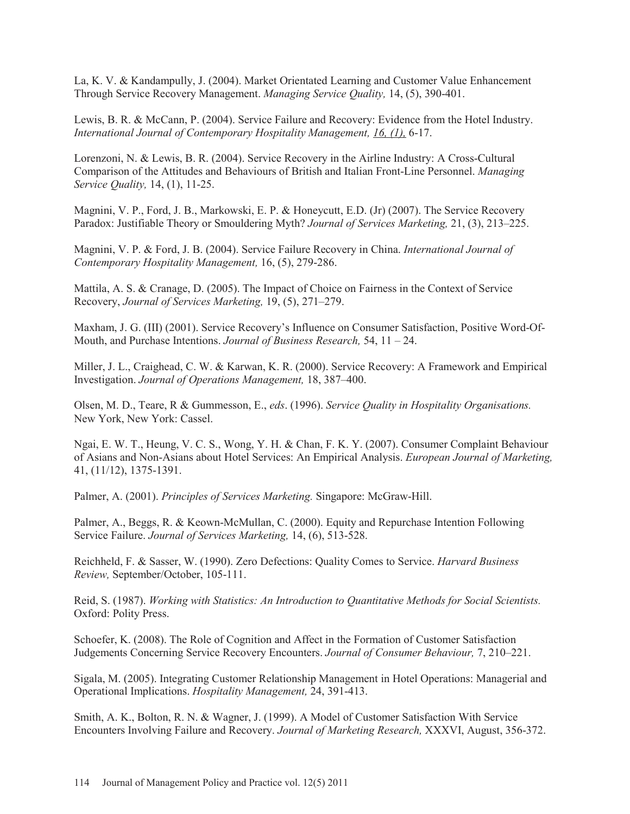La, K. V. & Kandampully, J. (2004). Market Orientated Learning and Customer Value Enhancement Through Service Recovery Management. *Managing Service Quality,* 14, (5), 390-401.

Lewis, B. R. & McCann, P. (2004). Service Failure and Recovery: Evidence from the Hotel Industry. *International Journal of Contemporary Hospitality Management, 16, (1),* 6-17.

Lorenzoni, N. & Lewis, B. R. (2004). Service Recovery in the Airline Industry: A Cross-Cultural Comparison of the Attitudes and Behaviours of British and Italian Front-Line Personnel. *Managing Service Quality,* 14, (1), 11-25.

Magnini, V. P., Ford, J. B., Markowski, E. P. & Honeycutt, E.D. (Jr) (2007). The Service Recovery Paradox: Justifiable Theory or Smouldering Myth? *Journal of Services Marketing,* 21, (3), 213–225.

Magnini, V. P. & Ford, J. B. (2004). Service Failure Recovery in China. *International Journal of Contemporary Hospitality Management,* 16, (5), 279-286.

Mattila, A. S. & Cranage, D. (2005). The Impact of Choice on Fairness in the Context of Service Recovery, *Journal of Services Marketing,* 19, (5), 271–279.

Maxham, J. G. (III) (2001). Service Recovery's Influence on Consumer Satisfaction, Positive Word-Of-Mouth, and Purchase Intentions. *Journal of Business Research,* 54, 11 – 24.

Miller, J. L., Craighead, C. W. & Karwan, K. R. (2000). Service Recovery: A Framework and Empirical Investigation. *Journal of Operations Management,* 18, 387–400.

Olsen, M. D., Teare, R & Gummesson, E., *eds*. (1996). *Service Quality in Hospitality Organisations.*  New York, New York: Cassel.

Ngai, E. W. T., Heung, V. C. S., Wong, Y. H. & Chan, F. K. Y. (2007). Consumer Complaint Behaviour of Asians and Non-Asians about Hotel Services: An Empirical Analysis. *European Journal of Marketing,*  41, (11/12), 1375-1391.

Palmer, A. (2001). *Principles of Services Marketing.* Singapore: McGraw-Hill.

Palmer, A., Beggs, R. & Keown-McMullan, C. (2000). Equity and Repurchase Intention Following Service Failure. *Journal of Services Marketing,* 14, (6), 513-528.

Reichheld, F. & Sasser, W. (1990). Zero Defections: Quality Comes to Service. *Harvard Business Review,* September/October, 105-111.

Reid, S. (1987). *Working with Statistics: An Introduction to Quantitative Methods for Social Scientists.*  Oxford: Polity Press.

Schoefer, K. (2008). The Role of Cognition and Affect in the Formation of Customer Satisfaction Judgements Concerning Service Recovery Encounters. *Journal of Consumer Behaviour,* 7, 210–221.

Sigala, M. (2005). Integrating Customer Relationship Management in Hotel Operations: Managerial and Operational Implications. *Hospitality Management,* 24, 391-413.

Smith, A. K., Bolton, R. N. & Wagner, J. (1999). A Model of Customer Satisfaction With Service Encounters Involving Failure and Recovery. *Journal of Marketing Research,* XXXVI, August, 356-372.